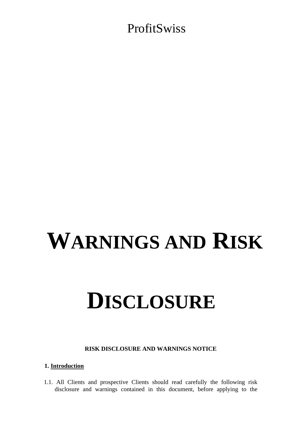# **WARNINGS AND RISK**

# **DISCLOSURE**

#### **RISK DISCLOSURE AND WARNINGS NOTICE**

#### **1. Introduction**

1.1. All Clients and prospective Clients should read carefully the following risk disclosure and warnings contained in this document, before applying to the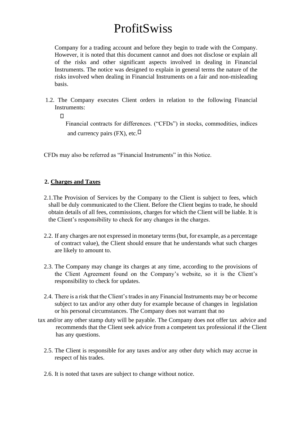Company for a trading account and before they begin to trade with the Company. However, it is noted that this document cannot and does not disclose or explain all of the risks and other significant aspects involved in dealing in Financial Instruments. The notice was designed to explain in general terms the nature of the risks involved when dealing in Financial Instruments on a fair and non-misleading basis.

1.2. The Company executes Client orders in relation to the following Financial Instruments:

 $\Box$ 

Financial contracts for differences. ("CFDs") in stocks, commodities, indices and currency pairs (FX), etc.  $\Box$ 

CFDs may also be referred as "Financial Instruments" in this Notice.

### **2. Charges and Taxes**

- 2.1.The Provision of Services by the Company to the Client is subject to fees, which shall be duly communicated to the Client. Before the Client begins to trade, he should obtain details of all fees, commissions, charges for which the Client will be liable. It is the Client's responsibility to check for any changes in the charges.
- 2.2. If any charges are not expressed in monetary terms (but, for example, as a percentage of contract value), the Client should ensure that he understands what such charges are likely to amount to.
- 2.3. The Company may change its charges at any time, according to the provisions of the Client Agreement found on the Company's website, so it is the Client's responsibility to check for updates.
- 2.4. There is a risk that the Client's trades in any Financial Instruments may be or become subject to tax and/or any other duty for example because of changes in legislation or his personal circumstances. The Company does not warrant that no
- tax and/or any other stamp duty will be payable. The Company does not offer tax advice and recommends that the Client seek advice from a competent tax professional if the Client has any questions.
	- 2.5. The Client is responsible for any taxes and/or any other duty which may accrue in respect of his trades.
	- 2.6. It is noted that taxes are subject to change without notice.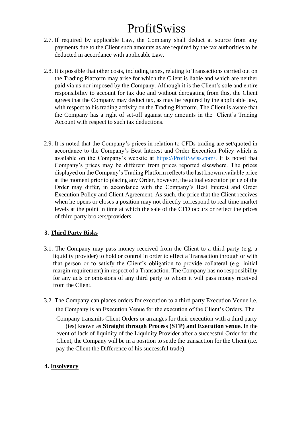- 2.7. If required by applicable Law, the Company shall deduct at source from any payments due to the Client such amounts as are required by the tax authorities to be deducted in accordance with applicable Law.
- 2.8. It is possible that other costs, including taxes, relating to Transactions carried out on the Trading Platform may arise for which the Client is liable and which are neither paid via us nor imposed by the Company. Although it is the Client's sole and entire responsibility to account for tax due and without derogating from this, the Client agrees that the Company may deduct tax, as may be required by the applicable law, with respect to his trading activity on the Trading Platform. The Client is aware that the Company has a right of set-off against any amounts in the Client's Trading Account with respect to such tax deductions.
- 2.9. It is noted that the Company's prices in relation to CFDs trading are set/quoted in accordance to the Company's Best Interest and Order Execution Policy which is available on the Company's website at [https://ProfitSwiss.](https://aatradenow.com/)[com/.](https://trademarkets.exchange/) [It](https://trademarkets.exchange/) [i](https://trademarkets.exchange/)s noted that Company's prices may be different from prices reported elsewhere. The prices displayed on the Company's Trading Platform reflects the last known available price at the moment prior to placing any Order, however, the actual execution price of the Order may differ, in accordance with the Company's Best Interest and Order Execution Policy and Client Agreement. As such, the price that the Client receives when he opens or closes a position may not directly correspond to real time market levels at the point in time at which the sale of the CFD occurs or reflect the prices of third party brokers/providers.

### **3. Third Party Risks**

- 3.1. The Company may pass money received from the Client to a third party (e.g. a liquidity provider) to hold or control in order to effect a Transaction through or with that person or to satisfy the Client's obligation to provide collateral (e.g. initial margin requirement) in respect of a Transaction. The Company has no responsibility for any acts or omissions of any third party to whom it will pass money received from the Client.
- 3.2. The Company can places orders for execution to a third party Execution Venue i.e. the Company is an Execution Venue for the execution of the Client's Orders. The Company transmits Client Orders or arranges for their execution with a third party (ies) known as **Straight through Process (STP) and Execution venue**. In the event of lack of liquidity of the Liquidity Provider after a successful Order for the Client, the Company will be in a position to settle the transaction for the Client (i.e. pay the Client the Difference of his successful trade).

### **4. Insolvency**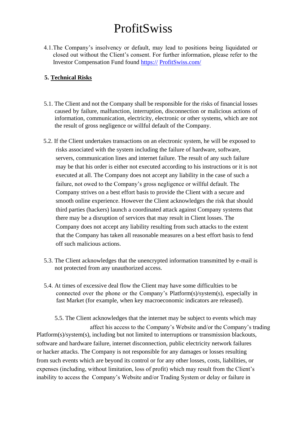4.1.The Company's insolvency or default, may lead to positions being liquidated or closed out without the Client's consent. For further information, please refer to the Investor Compensation Fund found https:// ProfitSwiss.co[m/](http://www.grandmarshall.exchange/) 

### **5. Technical Risks**

- 5.1. The Client and not the Company shall be responsible for the risks of financial losses caused by failure, malfunction, interruption, disconnection or malicious actions of information, communication, electricity, electronic or other systems, which are not the result of gross negligence or willful default of the Company.
- 5.2. If the Client undertakes transactions on an electronic system, he will be exposed to risks associated with the system including the failure of hardware, software, servers, communication lines and internet failure. The result of any such failure may be that his order is either not executed according to his instructions or it is not executed at all. The Company does not accept any liability in the case of such a failure, not owed to the Company's gross negligence or willful default. The Company strives on a best effort basis to provide the Client with a secure and smooth online experience. However the Client acknowledges the risk that should third parties (hackers) launch a coordinated attack against Company systems that there may be a disruption of services that may result in Client losses. The Company does not accept any liability resulting from such attacks to the extent that the Company has taken all reasonable measures on a best effort basis to fend off such malicious actions.
- 5.3. The Client acknowledges that the unencrypted information transmitted by e-mail is not protected from any unauthorized access.
- 5.4. At times of excessive deal flow the Client may have some difficulties to be connected over the phone or the Company's Platform(s)/system(s), especially in fast Market (for example, when key macroeconomic indicators are released).

 5.5. The Client acknowledges that the internet may be subject to events which may affect his access to the Company's Website and/or the Company's trading Platform(s)/system(s), including but not limited to interruptions or transmission blackouts, software and hardware failure, internet disconnection, public electricity network failures or hacker attacks. The Company is not responsible for any damages or losses resulting from such events which are beyond its control or for any other losses, costs, liabilities, or expenses (including, without limitation, loss of profit) which may result from the Client's inability to access the Company's Website and/or Trading System or delay or failure in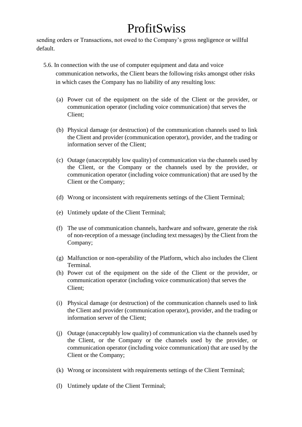sending orders or Transactions, not owed to the Company's gross negligence or willful default.

- 5.6. In connection with the use of computer equipment and data and voice communication networks, the Client bears the following risks amongst other risks in which cases the Company has no liability of any resulting loss:
	- (a) Power cut of the equipment on the side of the Client or the provider, or communication operator (including voice communication) that serves the Client;
	- (b) Physical damage (or destruction) of the communication channels used to link the Client and provider (communication operator), provider, and the trading or information server of the Client;
	- (c) Outage (unacceptably low quality) of communication via the channels used by the Client, or the Company or the channels used by the provider, or communication operator (including voice communication) that are used by the Client or the Company;
	- (d) Wrong or inconsistent with requirements settings of the Client Terminal;
	- (e) Untimely update of the Client Terminal;
	- (f) The use of communication channels, hardware and software, generate the risk of non-reception of a message (including text messages) by the Client from the Company;
	- (g) Malfunction or non-operability of the Platform, which also includes the Client Terminal.
	- (h) Power cut of the equipment on the side of the Client or the provider, or communication operator (including voice communication) that serves the Client;
	- (i) Physical damage (or destruction) of the communication channels used to link the Client and provider (communication operator), provider, and the trading or information server of the Client;
	- (j) Outage (unacceptably low quality) of communication via the channels used by the Client, or the Company or the channels used by the provider, or communication operator (including voice communication) that are used by the Client or the Company;
	- (k) Wrong or inconsistent with requirements settings of the Client Terminal;
	- (l) Untimely update of the Client Terminal;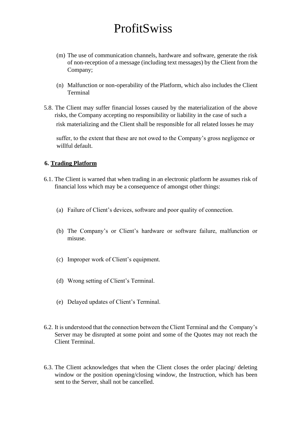- (m) The use of communication channels, hardware and software, generate the risk of non-reception of a message (including text messages) by the Client from the Company;
- (n) Malfunction or non-operability of the Platform, which also includes the Client Terminal
- 5.8. The Client may suffer financial losses caused by the materialization of the above risks, the Company accepting no responsibility or liability in the case of such a risk materializing and the Client shall be responsible for all related losses he may

suffer, to the extent that these are not owed to the Company's gross negligence or willful default.

### **6. Trading Platform**

- 6.1. The Client is warned that when trading in an electronic platform he assumes risk of financial loss which may be a consequence of amongst other things:
	- (a) Failure of Client's devices, software and poor quality of connection.
	- (b) The Company's or Client's hardware or software failure, malfunction or misuse.
	- (c) Improper work of Client's equipment.
	- (d) Wrong setting of Client's Terminal.
	- (e) Delayed updates of Client's Terminal.
- 6.2. It is understood that the connection between the Client Terminal and the Company's Server may be disrupted at some point and some of the Quotes may not reach the Client Terminal.
- 6.3. The Client acknowledges that when the Client closes the order placing/ deleting window or the position opening/closing window, the Instruction, which has been sent to the Server, shall not be cancelled.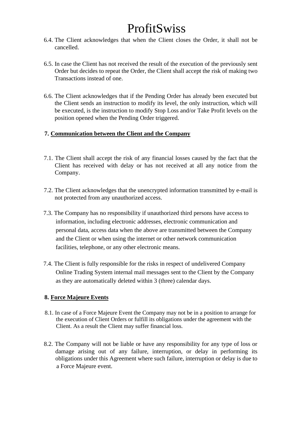- 6.4. The Client acknowledges that when the Client closes the Order, it shall not be cancelled.
- 6.5. In case the Client has not received the result of the execution of the previously sent Order but decides to repeat the Order, the Client shall accept the risk of making two Transactions instead of one.
- 6.6. The Client acknowledges that if the Pending Order has already been executed but the Client sends an instruction to modify its level, the only instruction, which will be executed, is the instruction to modify Stop Loss and/or Take Profit levels on the position opened when the Pending Order triggered.

### **7. Communication between the Client and the Company**

- 7.1. The Client shall accept the risk of any financial losses caused by the fact that the Client has received with delay or has not received at all any notice from the Company.
- 7.2. The Client acknowledges that the unencrypted information transmitted by e-mail is not protected from any unauthorized access.
- 7.3. The Company has no responsibility if unauthorized third persons have access to information, including electronic addresses, electronic communication and personal data, access data when the above are transmitted between the Company and the Client or when using the internet or other network communication facilities, telephone, or any other electronic means.
- 7.4. The Client is fully responsible for the risks in respect of undelivered Company Online Trading System internal mail messages sent to the Client by the Company as they are automatically deleted within 3 (three) calendar days.

### **8. Force Majeure Events**

- 8.1. In case of a Force Majeure Event the Company may not be in a position to arrange for the execution of Client Orders or fulfill its obligations under the agreement with the Client. As a result the Client may suffer financial loss.
- 8.2. The Company will not be liable or have any responsibility for any type of loss or damage arising out of any failure, interruption, or delay in performing its obligations under this Agreement where such failure, interruption or delay is due to a Force Majeure event.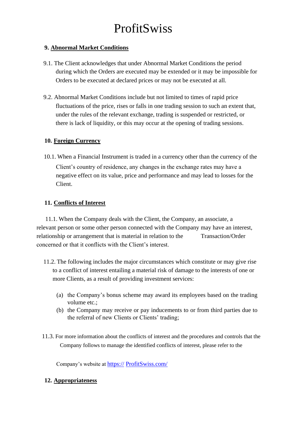### **9. Abnormal Market Conditions**

- 9.1. The Client acknowledges that under Abnormal Market Conditions the period during which the Orders are executed may be extended or it may be impossible for Orders to be executed at declared prices or may not be executed at all.
- 9.2. Abnormal Market Conditions include but not limited to times of rapid price fluctuations of the price, rises or falls in one trading session to such an extent that, under the rules of the relevant exchange, trading is suspended or restricted, or there is lack of liquidity, or this may occur at the opening of trading sessions.

### **10. Foreign Currency**

10.1. When a Financial Instrument is traded in a currency other than the currency of the Client's country of residence, any changes in the exchange rates may have a negative effect on its value, price and performance and may lead to losses for the Client.

### **11. Conflicts of Interest**

11.1. When the Company deals with the Client, the Company, an associate, a relevant person or some other person connected with the Company may have an interest, relationship or arrangement that is material in relation to the Transaction/Order concerned or that it conflicts with the Client's interest.

- 11.2. The following includes the major circumstances which constitute or may give rise to a conflict of interest entailing a material risk of damage to the interests of one or more Clients, as a result of providing investment services:
	- (a) the Company's bonus scheme may award its employees based on the trading volume etc.;
	- (b) the Company may receive or pay inducements to or from third parties due to the referral of new Clients or Clients' trading;
- 11.3. For more information about the conflicts of interest and the procedures and controls that the Company follows to manage the identified conflicts of interest, please refer to the

Company's website at https:// ProfitSwiss.co[m/](http://www.grandtrade.exchange/) 

### **12. Appropriateness**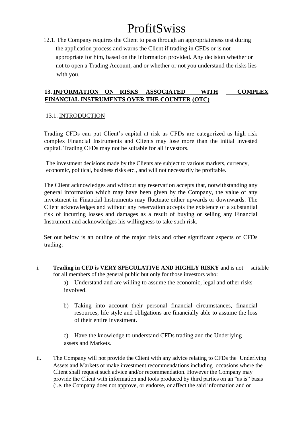12.1. The Company requires the Client to pass through an appropriateness test during the application process and warns the Client if trading in CFDs or is not appropriate for him, based on the information provided. Any decision whether or not to open a Trading Account, and or whether or not you understand the risks lies with you.

### **13. INFORMATION ON RISKS ASSOCIATED WITH COMPLEX FINANCIAL INSTRUMENTS OVER THE COUNTER (OTC)**

#### 13.1. INTRODUCTION

Trading CFDs can put Client's capital at risk as CFDs are categorized as high risk complex Financial Instruments and Clients may lose more than the initial invested capital. Trading CFDs may not be suitable for all investors.

The investment decisions made by the Clients are subject to various markets, currency, economic, political, business risks etc., and will not necessarily be profitable.

The Client acknowledges and without any reservation accepts that, notwithstanding any general information which may have been given by the Company, the value of any investment in Financial Instruments may fluctuate either upwards or downwards. The Client acknowledges and without any reservation accepts the existence of a substantial risk of incurring losses and damages as a result of buying or selling any Financial Instrument and acknowledges his willingness to take such risk.

Set out below is an outline of the major risks and other significant aspects of CFDs trading:

i. **Trading in CFD is VERY SPECULATIVE AND HIGHLY RISKY** and is not suitable for all members of the general public but only for those investors who:

a) Understand and are willing to assume the economic, legal and other risks involved.

b) Taking into account their personal financial circumstances, financial resources, life style and obligations are financially able to assume the loss of their entire investment.

c) Have the knowledge to understand CFDs trading and the Underlying assets and Markets.

ii. The Company will not provide the Client with any advice relating to CFDs the Underlying Assets and Markets or make investment recommendations including occasions where the Client shall request such advice and/or recommendation. However the Company may provide the Client with information and tools produced by third parties on an "as is" basis (i.e. the Company does not approve, or endorse, or affect the said information and or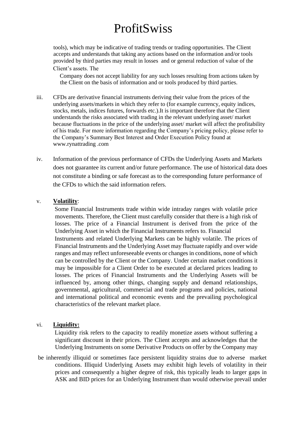tools), which may be indicative of trading trends or trading opportunities. The Client accepts and understands that taking any actions based on the information and/or tools provided by third parties may result in losses and or general reduction of value of the Client's assets. The

Company does not accept liability for any such losses resulting from actions taken by the Client on the basis of information and or tools produced by third parties.

- iii. CFDs are derivative financial instruments deriving their value from the prices of the underlying assets/markets in which they refer to (for example currency, equity indices, stocks, metals, indices futures, forwards etc.).It is important therefore that the Client understands the risks associated with trading in the relevant underlying asset/ market because fluctuations in the price of the underlying asset/ market will affect the profitability of his trade. For more information regarding the Company's pricing policy, please refer to the Company's Summary Best Interest and Order Execution Policy found at www.rynattrading .com
- iv. Information of the previous performance of CFDs the Underlying Assets and Markets does not guarantee its current and/or future performance. The use of historical data does not constitute a binding or safe forecast as to the corresponding future performance of the CFDs to which the said information refers.

#### v. **Volatility**:

Some Financial Instruments trade within wide intraday ranges with volatile price movements. Therefore, the Client must carefully consider that there is a high risk of losses. The price of a Financial Instrument is derived from the price of the Underlying Asset in which the Financial Instruments refers to. Financial Instruments and related Underlying Markets can be highly volatile. The prices of Financial Instruments and the Underlying Asset may fluctuate rapidly and over wide ranges and may reflect unforeseeable events or changes in conditions, none of which can be controlled by the Client or the Company. Under certain market conditions it may be impossible for a Client Order to be executed at declared prices leading to losses. The prices of Financial Instruments and the Underlying Assets will be influenced by, among other things, changing supply and demand relationships, governmental, agricultural, commercial and trade programs and policies, national and international political and economic events and the prevailing psychological characteristics of the relevant market place.

#### vi. **Liquidity:**

Liquidity risk refers to the capacity to readily monetize assets without suffering a significant discount in their prices. The Client accepts and acknowledges that the Underlying Instruments on some Derivative Products on offer by the Company may

be inherently illiquid or sometimes face persistent liquidity strains due to adverse market conditions. Illiquid Underlying Assets may exhibit high levels of volatility in their prices and consequently a higher degree of risk, this typically leads to larger gaps in ASK and BID prices for an Underlying Instrument than would otherwise prevail under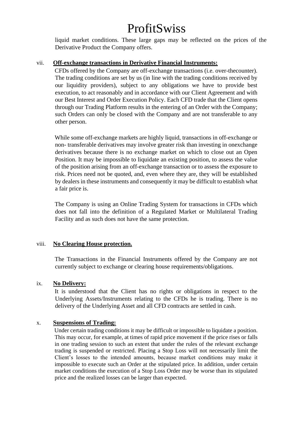liquid market conditions. These large gaps may be reflected on the prices of the Derivative Product the Company offers.

#### vii. **Off-exchange transactions in Derivative Financial Instruments:**

CFDs offered by the Company are off-exchange transactions (i.e. over-thecounter). The trading conditions are set by us (in line with the trading conditions received by our liquidity providers), subject to any obligations we have to provide best execution, to act reasonably and in accordance with our Client Agreement and with our Best Interest and Order Execution Policy. Each CFD trade that the Client opens through our Trading Platform results in the entering of an Order with the Company; such Orders can only be closed with the Company and are not transferable to any other person.

While some off-exchange markets are highly liquid, transactions in off-exchange or non- transferable derivatives may involve greater risk than investing in onexchange derivatives because there is no exchange market on which to close out an Open Position. It may be impossible to liquidate an existing position, to assess the value of the position arising from an off-exchange transaction or to assess the exposure to risk. Prices need not be quoted, and, even where they are, they will be established by dealers in these instruments and consequently it may be difficult to establish what a fair price is.

The Company is using an Online Trading System for transactions in CFDs which does not fall into the definition of a Regulated Market or Multilateral Trading Facility and as such does not have the same protection.

### viii. **No Clearing House protection.**

The Transactions in the Financial Instruments offered by the Company are not currently subject to exchange or clearing house requirements/obligations.

### ix. **No Delivery:**

It is understood that the Client has no rights or obligations in respect to the Underlying Assets/Instruments relating to the CFDs he is trading. There is no delivery of the Underlying Asset and all CFD contracts are settled in cash.

#### x. **Suspensions of Trading:**

Under certain trading conditions it may be difficult or impossible to liquidate a position. This may occur, for example, at times of rapid price movement if the price rises or falls in one trading session to such an extent that under the rules of the relevant exchange trading is suspended or restricted. Placing a Stop Loss will not necessarily limit the Client's losses to the intended amounts, because market conditions may make it impossible to execute such an Order at the stipulated price. In addition, under certain market conditions the execution of a Stop Loss Order may be worse than its stipulated price and the realized losses can be larger than expected.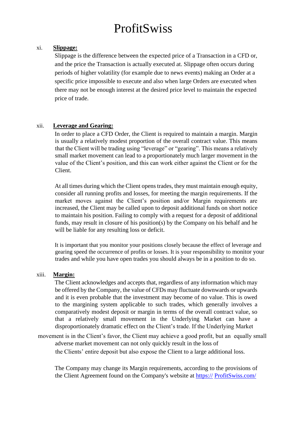#### xi. **Slippage:**

Slippage is the difference between the expected price of a Transaction in a CFD or, and the price the Transaction is actually executed at. Slippage often occurs during periods of higher volatility (for example due to news events) making an Order at a specific price impossible to execute and also when large Orders are executed when there may not be enough interest at the desired price level to maintain the expected price of trade.

#### xii. **Leverage and Gearing:**

In order to place a CFD Order, the Client is required to maintain a margin. Margin is usually a relatively modest proportion of the overall contract value. This means that the Client will be trading using "leverage" or "gearing". This means a relatively small market movement can lead to a proportionately much larger movement in the value of the Client's position, and this can work either against the Client or for the Client.

At all times during which the Client opens trades, they must maintain enough equity, consider all running profits and losses, for meeting the margin requirements. If the market moves against the Client's position and/or Margin requirements are increased, the Client may be called upon to deposit additional funds on short notice to maintain his position. Failing to comply with a request for a deposit of additional funds, may result in closure of his position(s) by the Company on his behalf and he will be liable for any resulting loss or deficit.

It is important that you monitor your positions closely because the effect of leverage and gearing speed the occurrence of profits or losses. It is your responsibility to monitor your trades and while you have open trades you should always be in a position to do so.

#### xiii. **Margin:**

The Client acknowledges and accepts that, regardless of any information which may be offered by the Company, the value of CFDs may fluctuate downwards or upwards and it is even probable that the investment may become of no value. This is owed to the margining system applicable to such trades, which generally involves a comparatively modest deposit or margin in terms of the overall contract value, so that a relatively small movement in the Underlying Market can have a disproportionately dramatic effect on the Client's trade. If the Underlying Market

movement is in the Client's favor, the Client may achieve a good profit, but an equally small adverse market movement can not only quickly result in the loss of

the Clients' entire deposit but also expose the Client to a large additional loss.

The Company may change its Margin requirements, according to the provisions of the Client Agreement found on the Company's website at https:// ProfitSwiss.co[m/](http://www.grandtrade.exchange/)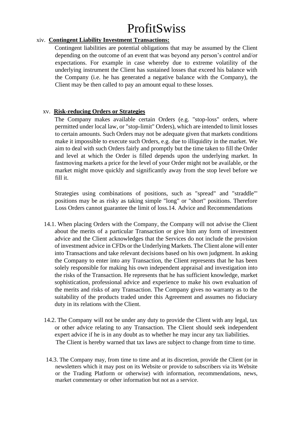#### xiv. **Contingent Liability Investment Transactions:**

Contingent liabilities are potential obligations that may be assumed by the Client depending on the outcome of an event that was beyond any person's control and/or expectations. For example in case whereby due to extreme volatility of the underlying instrument the Client has sustained losses that exceed his balance with the Company (i.e. he has generated a negative balance with the Company), the Client may be then called to pay an amount equal to these losses.

#### xv. **Risk-reducing Orders or Strategies**

The Company makes available certain Orders (e.g. "stop-loss" orders, where permitted under local law, or "stop-limit" Orders), which are intended to limit losses to certain amounts. Such Orders may not be adequate given that markets conditions make it impossible to execute such Orders, e.g. due to illiquidity in the market. We aim to deal with such Orders fairly and promptly but the time taken to fill the Order and level at which the Order is filled depends upon the underlying market. In fastmoving markets a price for the level of your Order might not be available, or the market might move quickly and significantly away from the stop level before we fill it.

Strategies using combinations of positions, such as "spread" and "straddle"' positions may be as risky as taking simple "long" or "short" positions. Therefore Loss Orders cannot guarantee the limit of loss.14. Advice and Recommendations

- 14.1. When placing Orders with the Company, the Company will not advise the Client about the merits of a particular Transaction or give him any form of investment advice and the Client acknowledges that the Services do not include the provision of investment advice in CFDs or the Underlying Markets. The Client alone will enter into Transactions and take relevant decisions based on his own judgment. In asking the Company to enter into any Transaction, the Client represents that he has been solely responsible for making his own independent appraisal and investigation into the risks of the Transaction. He represents that he has sufficient knowledge, market sophistication, professional advice and experience to make his own evaluation of the merits and risks of any Transaction. The Company gives no warranty as to the suitability of the products traded under this Agreement and assumes no fiduciary duty in its relations with the Client.
- 14.2. The Company will not be under any duty to provide the Client with any legal, tax or other advice relating to any Transaction. The Client should seek independent expert advice if he is in any doubt as to whether he may incur any tax liabilities. The Client is hereby warned that tax laws are subject to change from time to time.
- 14.3. The Company may, from time to time and at its discretion, provide the Client (or in newsletters which it may post on its Website or provide to subscribers via its Website or the Trading Platform or otherwise) with information, recommendations, news, market commentary or other information but not as a service.